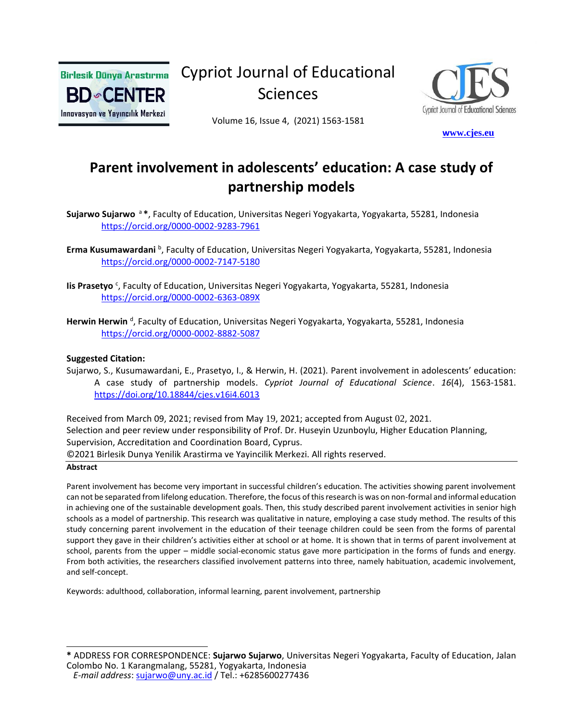

Cypriot Journal of Educational Sciences



Volume 16, Issue 4, (2021) 1563-1581

 **[w](http://www.cjes.eu/)[ww.cjes.eu](http://www.cjes.eu/)**

# **Parent involvement in adolescents' education: A case study of partnership models**

**Sujarwo Sujarwo** <sup>a</sup>**\***, Faculty of Education, Universitas Negeri Yogyakarta, Yogyakarta, 55281, Indonesia <https://orcid.org/0000-0002-9283-7961>

- **Iis Prasetyo** <sup>c</sup>, Faculty of Education, Universitas Negeri Yogyakarta, Yogyakarta, 55281, Indonesia <https://orcid.org/0000-0002-6363-089X>
- **Herwin Herwin** <sup>d</sup>, Faculty of Education, Universitas Negeri Yogyakarta, Yogyakarta, 55281, Indonesia <https://orcid.org/0000-0002-8882-5087>

#### **Suggested Citation:**

Sujarwo, S., Kusumawardani, E., Prasetyo, I., & Herwin, H. (2021). Parent involvement in adolescents' education: A case study of partnership models. *Cypriot Journal of Educational Science*. *16*(4), 1563-1581. <https://doi.org/10.18844/cjes.v16i4.6013>

Received from March 09, 2021; revised from May 19, 2021; accepted from August 02, 2021. Selection and peer review under responsibility of Prof. Dr. Huseyin Uzunboylu, Higher Education Planning, Supervision, Accreditation and Coordination Board, Cyprus.

©2021 Birlesik Dunya Yenilik Arastirma ve Yayincilik Merkezi. All rights reserved.

#### **Abstract**

Parent involvement has become very important in successful children's education. The activities showing parent involvement can not be separated from lifelong education. Therefore, the focus of this research is was on non-formal and informal education in achieving one of the sustainable development goals. Then, this study described parent involvement activities in senior high schools as a model of partnership. This research was qualitative in nature, employing a case study method. The results of this study concerning parent involvement in the education of their teenage children could be seen from the forms of parental support they gave in their children's activities either at school or at home. It is shown that in terms of parent involvement at school, parents from the upper – middle social-economic status gave more participation in the forms of funds and energy. From both activities, the researchers classified involvement patterns into three, namely habituation, academic involvement, and self-concept.

Keywords: adulthood, collaboration, informal learning, parent involvement, partnership

**Erma Kusumawardani** <sup>b</sup>, Faculty of Education, Universitas Negeri Yogyakarta, Yogyakarta, 55281, Indonesia <https://orcid.org/0000-0002-7147-5180>

**<sup>\*</sup>** ADDRESS FOR CORRESPONDENCE: **Sujarwo Sujarwo**, Universitas Negeri Yogyakarta, Faculty of Education, Jalan Colombo No. 1 Karangmalang, 55281, Yogyakarta, Indonesia

*E-mail address*: [sujarwo@uny.ac.id](mailto:sujarwo@uny.ac.id) / Tel.: +6285600277436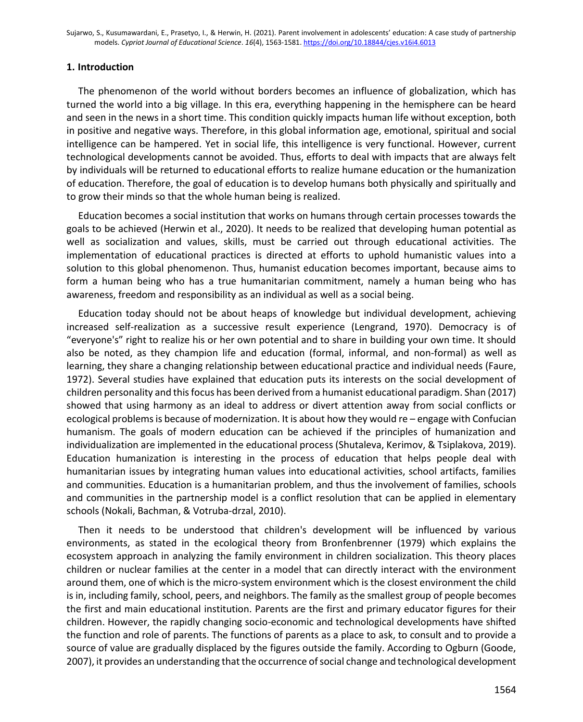### **1. Introduction**

The phenomenon of the world without borders becomes an influence of globalization, which has turned the world into a big village. In this era, everything happening in the hemisphere can be heard and seen in the news in a short time. This condition quickly impacts human life without exception, both in positive and negative ways. Therefore, in this global information age, emotional, spiritual and social intelligence can be hampered. Yet in social life, this intelligence is very functional. However, current technological developments cannot be avoided. Thus, efforts to deal with impacts that are always felt by individuals will be returned to educational efforts to realize humane education or the humanization of education. Therefore, the goal of education is to develop humans both physically and spiritually and to grow their minds so that the whole human being is realized.

Education becomes a social institution that works on humans through certain processes towards the goals to be achieved (Herwin et al., 2020). It needs to be realized that developing human potential as well as socialization and values, skills, must be carried out through educational activities. The implementation of educational practices is directed at efforts to uphold humanistic values into a solution to this global phenomenon. Thus, humanist education becomes important, because aims to form a human being who has a true humanitarian commitment, namely a human being who has awareness, freedom and responsibility as an individual as well as a social being.

Education today should not be about heaps of knowledge but individual development, achieving increased self-realization as a successive result experience (Lengrand, 1970). Democracy is of "everyone's" right to realize his or her own potential and to share in building your own time. It should also be noted, as they champion life and education (formal, informal, and non-formal) as well as learning, they share a changing relationship between educational practice and individual needs (Faure, 1972). Several studies have explained that education puts its interests on the social development of children personality and thisfocus has been derived from a humanist educational paradigm. Shan (2017) showed that using harmony as an ideal to address or divert attention away from social conflicts or ecological problems is because of modernization. It is about how they would re – engage with Confucian humanism. The goals of modern education can be achieved if the principles of humanization and individualization are implemented in the educational process (Shutaleva, Kerimov, & Tsiplakova, 2019). Education humanization is interesting in the process of education that helps people deal with humanitarian issues by integrating human values into educational activities, school artifacts, families and communities. Education is a humanitarian problem, and thus the involvement of families, schools and communities in the partnership model is a conflict resolution that can be applied in elementary schools (Nokali, Bachman, & Votruba-drzal, 2010).

Then it needs to be understood that children's development will be influenced by various environments, as stated in the ecological theory from Bronfenbrenner (1979) which explains the ecosystem approach in analyzing the family environment in children socialization. This theory places children or nuclear families at the center in a model that can directly interact with the environment around them, one of which is the micro-system environment which is the closest environment the child is in, including family, school, peers, and neighbors. The family as the smallest group of people becomes the first and main educational institution. Parents are the first and primary educator figures for their children. However, the rapidly changing socio-economic and technological developments have shifted the function and role of parents. The functions of parents as a place to ask, to consult and to provide a source of value are gradually displaced by the figures outside the family. According to Ogburn (Goode, 2007), it provides an understanding that the occurrence of social change and technological development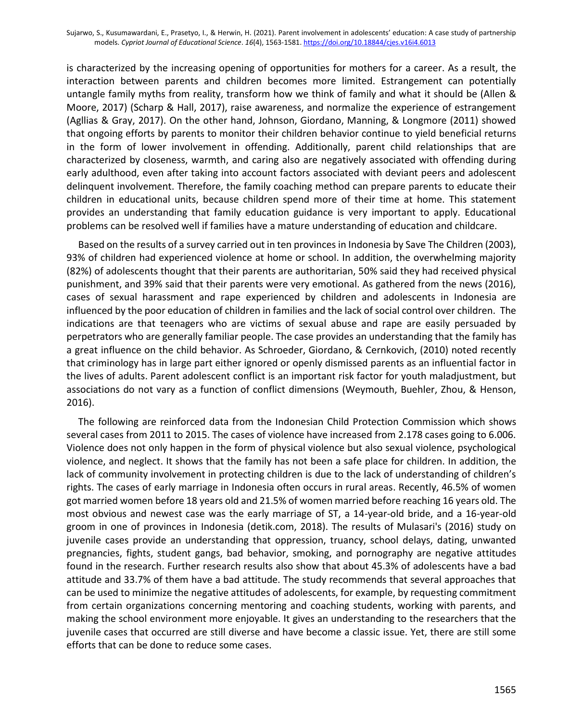is characterized by the increasing opening of opportunities for mothers for a career. As a result, the interaction between parents and children becomes more limited. Estrangement can potentially untangle family myths from reality, transform how we think of family and what it should be (Allen & Moore, 2017) (Scharp & Hall, 2017), raise awareness, and normalize the experience of estrangement (Agllias & Gray, 2017). On the other hand, Johnson, Giordano, Manning, & Longmore (2011) showed that ongoing efforts by parents to monitor their children behavior continue to yield beneficial returns in the form of lower involvement in offending. Additionally, parent child relationships that are characterized by closeness, warmth, and caring also are negatively associated with offending during early adulthood, even after taking into account factors associated with deviant peers and adolescent delinquent involvement. Therefore, the family coaching method can prepare parents to educate their children in educational units, because children spend more of their time at home. This statement provides an understanding that family education guidance is very important to apply. Educational problems can be resolved well if families have a mature understanding of education and childcare.

Based on the results of a survey carried out in ten provinces in Indonesia by Save The Children (2003), 93% of children had experienced violence at home or school. In addition, the overwhelming majority (82%) of adolescents thought that their parents are authoritarian, 50% said they had received physical punishment, and 39% said that their parents were very emotional. As gathered from the news (2016), cases of sexual harassment and rape experienced by children and adolescents in Indonesia are influenced by the poor education of children in families and the lack of social control over children. The indications are that teenagers who are victims of sexual abuse and rape are easily persuaded by perpetrators who are generally familiar people. The case provides an understanding that the family has a great influence on the child behavior. As Schroeder, Giordano, & Cernkovich, (2010) noted recently that criminology has in large part either ignored or openly dismissed parents as an influential factor in the lives of adults. Parent adolescent conflict is an important risk factor for youth maladjustment, but associations do not vary as a function of conflict dimensions (Weymouth, Buehler, Zhou, & Henson, 2016).

The following are reinforced data from the Indonesian Child Protection Commission which shows several cases from 2011 to 2015. The cases of violence have increased from 2.178 cases going to 6.006. Violence does not only happen in the form of physical violence but also sexual violence, psychological violence, and neglect. It shows that the family has not been a safe place for children. In addition, the lack of community involvement in protecting children is due to the lack of understanding of children's rights. The cases of early marriage in Indonesia often occurs in rural areas. Recently, 46.5% of women got married women before 18 years old and 21.5% of women married before reaching 16 years old. The most obvious and newest case was the early marriage of ST, a 14-year-old bride, and a 16-year-old groom in one of provinces in Indonesia (detik.com, 2018). The results of Mulasari's (2016) study on juvenile cases provide an understanding that oppression, truancy, school delays, dating, unwanted pregnancies, fights, student gangs, bad behavior, smoking, and pornography are negative attitudes found in the research. Further research results also show that about 45.3% of adolescents have a bad attitude and 33.7% of them have a bad attitude. The study recommends that several approaches that can be used to minimize the negative attitudes of adolescents, for example, by requesting commitment from certain organizations concerning mentoring and coaching students, working with parents, and making the school environment more enjoyable. It gives an understanding to the researchers that the juvenile cases that occurred are still diverse and have become a classic issue. Yet, there are still some efforts that can be done to reduce some cases.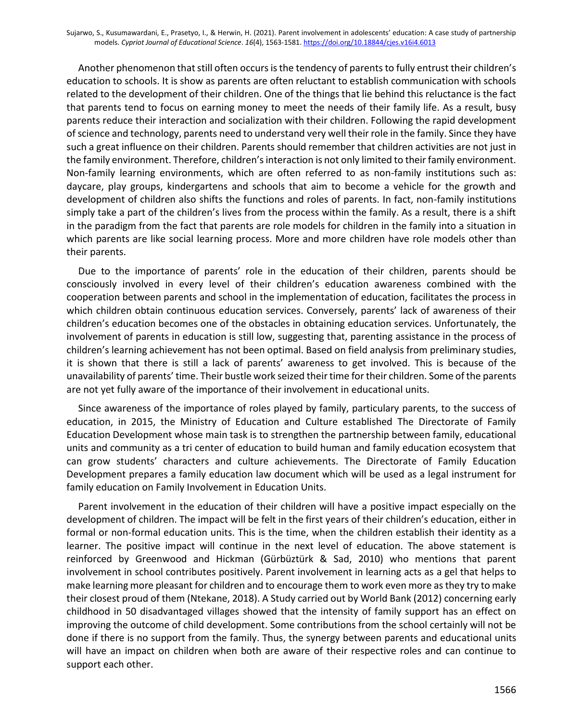Another phenomenon that still often occurs is the tendency of parents to fully entrust their children's education to schools. It is show as parents are often reluctant to establish communication with schools related to the development of their children. One of the things that lie behind this reluctance is the fact that parents tend to focus on earning money to meet the needs of their family life. As a result, busy parents reduce their interaction and socialization with their children. Following the rapid development of science and technology, parents need to understand very well their role in the family. Since they have such a great influence on their children. Parents should remember that children activities are not just in the family environment. Therefore, children's interaction is not only limited to their family environment. Non-family learning environments, which are often referred to as non-family institutions such as: daycare, play groups, kindergartens and schools that aim to become a vehicle for the growth and development of children also shifts the functions and roles of parents. In fact, non-family institutions simply take a part of the children's lives from the process within the family. As a result, there is a shift in the paradigm from the fact that parents are role models for children in the family into a situation in which parents are like social learning process. More and more children have role models other than their parents.

Due to the importance of parents' role in the education of their children, parents should be consciously involved in every level of their children's education awareness combined with the cooperation between parents and school in the implementation of education, facilitates the process in which children obtain continuous education services. Conversely, parents' lack of awareness of their children's education becomes one of the obstacles in obtaining education services. Unfortunately, the involvement of parents in education is still low, suggesting that, parenting assistance in the process of children's learning achievement has not been optimal. Based on field analysis from preliminary studies, it is shown that there is still a lack of parents' awareness to get involved. This is because of the unavailability of parents' time. Their bustle work seized their time for their children. Some of the parents are not yet fully aware of the importance of their involvement in educational units.

Since awareness of the importance of roles played by family, particulary parents, to the success of education, in 2015, the Ministry of Education and Culture established The Directorate of Family Education Development whose main task is to strengthen the partnership between family, educational units and community as a tri center of education to build human and family education ecosystem that can grow students' characters and culture achievements. The Directorate of Family Education Development prepares a family education law document which will be used as a legal instrument for family education on Family Involvement in Education Units.

Parent involvement in the education of their children will have a positive impact especially on the development of children. The impact will be felt in the first years of their children's education, either in formal or non-formal education units. This is the time, when the children establish their identity as a learner. The positive impact will continue in the next level of education. The above statement is reinforced by Greenwood and Hickman (Gürbüztürk & Sad, 2010) who mentions that parent involvement in school contributes positively. Parent involvement in learning acts as a gel that helps to make learning more pleasant for children and to encourage them to work even more as they try to make their closest proud of them (Ntekane, 2018). A Study carried out by World Bank (2012) concerning early childhood in 50 disadvantaged villages showed that the intensity of family support has an effect on improving the outcome of child development. Some contributions from the school certainly will not be done if there is no support from the family. Thus, the synergy between parents and educational units will have an impact on children when both are aware of their respective roles and can continue to support each other.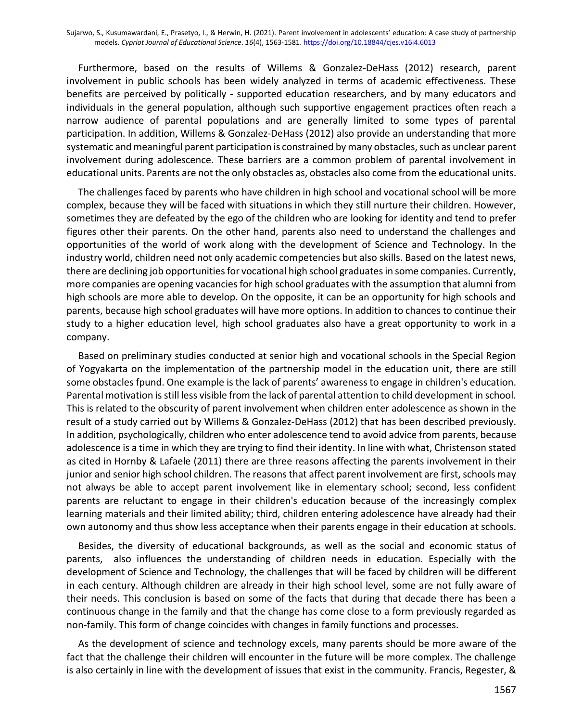Furthermore, based on the results of Willems & Gonzalez-DeHass (2012) research, parent involvement in public schools has been widely analyzed in terms of academic effectiveness. These benefits are perceived by politically - supported education researchers, and by many educators and individuals in the general population, although such supportive engagement practices often reach a narrow audience of parental populations and are generally limited to some types of parental participation. In addition, Willems & Gonzalez-DeHass (2012) also provide an understanding that more systematic and meaningful parent participation is constrained by many obstacles, such as unclear parent involvement during adolescence. These barriers are a common problem of parental involvement in educational units. Parents are not the only obstacles as, obstacles also come from the educational units.

The challenges faced by parents who have children in high school and vocational school will be more complex, because they will be faced with situations in which they still nurture their children. However, sometimes they are defeated by the ego of the children who are looking for identity and tend to prefer figures other their parents. On the other hand, parents also need to understand the challenges and opportunities of the world of work along with the development of Science and Technology. In the industry world, children need not only academic competencies but also skills. Based on the latest news, there are declining job opportunities for vocational high school graduates in some companies. Currently, more companies are opening vacancies for high school graduates with the assumption that alumni from high schools are more able to develop. On the opposite, it can be an opportunity for high schools and parents, because high school graduates will have more options. In addition to chances to continue their study to a higher education level, high school graduates also have a great opportunity to work in a company.

Based on preliminary studies conducted at senior high and vocational schools in the Special Region of Yogyakarta on the implementation of the partnership model in the education unit, there are still some obstacles fpund. One example is the lack of parents' awareness to engage in children's education. Parental motivation is still less visible from the lack of parental attention to child development in school. This is related to the obscurity of parent involvement when children enter adolescence as shown in the result of a study carried out by Willems & Gonzalez-DeHass (2012) that has been described previously. In addition, psychologically, children who enter adolescence tend to avoid advice from parents, because adolescence is a time in which they are trying to find their identity. In line with what, Christenson stated as cited in Hornby & Lafaele (2011) there are three reasons affecting the parents involvement in their junior and senior high school children. The reasons that affect parent involvement are first, schools may not always be able to accept parent involvement like in elementary school; second, less confident parents are reluctant to engage in their children's education because of the increasingly complex learning materials and their limited ability; third, children entering adolescence have already had their own autonomy and thus show less acceptance when their parents engage in their education at schools.

Besides, the diversity of educational backgrounds, as well as the social and economic status of parents, also influences the understanding of children needs in education. Especially with the development of Science and Technology, the challenges that will be faced by children will be different in each century. Although children are already in their high school level, some are not fully aware of their needs. This conclusion is based on some of the facts that during that decade there has been a continuous change in the family and that the change has come close to a form previously regarded as non-family. This form of change coincides with changes in family functions and processes.

As the development of science and technology excels, many parents should be more aware of the fact that the challenge their children will encounter in the future will be more complex. The challenge is also certainly in line with the development of issues that exist in the community. Francis, Regester, &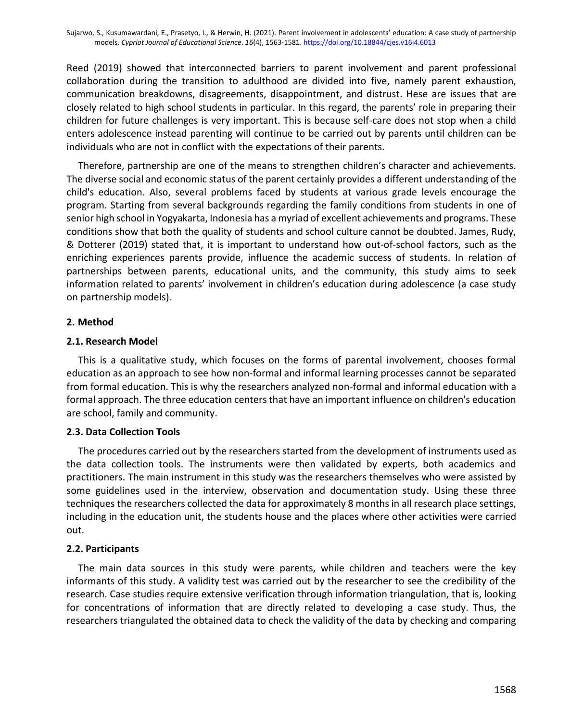Reed (2019) showed that interconnected barriers to parent involvement and parent professional collaboration during the transition to adulthood are divided into five, namely parent exhaustion, communication breakdowns, disagreements, disappointment, and distrust. Hese are issues that are closely related to high school students in particular. In this regard, the parents' role in preparing their children for future challenges is very important. This is because self-care does not stop when a child enters adolescence instead parenting will continue to be carried out by parents until children can be individuals who are not in conflict with the expectations of their parents.

Therefore, partnership are one of the means to strengthen children's character and achievements. The diverse social and economic status of the parent certainly provides a different understanding of the child's education. Also, several problems faced by students at various grade levels encourage the program. Starting from several backgrounds regarding the family conditions from students in one of senior high school in Yogyakarta, Indonesia has a myriad of excellent achievements and programs. These conditions show that both the quality of students and school culture cannot be doubted. James, Rudy, & Dotterer (2019) stated that, it is important to understand how out-of-school factors, such as the enriching experiences parents provide, influence the academic success of students. In relation of partnerships between parents, educational units, and the community, this study aims to seek information related to parents' involvement in children's education during adolescence (a case study on partnership models).

# **2. Method**

# **2.1. Research Model**

This is a qualitative study, which focuses on the forms of parental involvement, chooses formal education as an approach to see how non-formal and informal learning processes cannot be separated from formal education. This is why the researchers analyzed non-formal and informal education with a formal approach. The three education centers that have an important influence on children's education are school, family and community.

# **2.3. Data Collection Tools**

The procedures carried out by the researchers started from the development of instruments used as the data collection tools. The instruments were then validated by experts, both academics and practitioners. The main instrument in this study was the researchers themselves who were assisted by some guidelines used in the interview, observation and documentation study. Using these three techniques the researchers collected the data for approximately 8 months in all research place settings, including in the education unit, the students house and the places where other activities were carried out.

# **2.2. Participants**

The main data sources in this study were parents, while children and teachers were the key informants of this study. A validity test was carried out by the researcher to see the credibility of the research. Case studies require extensive verification through information triangulation, that is, looking for concentrations of information that are directly related to developing a case study. Thus, the researchers triangulated the obtained data to check the validity of the data by checking and comparing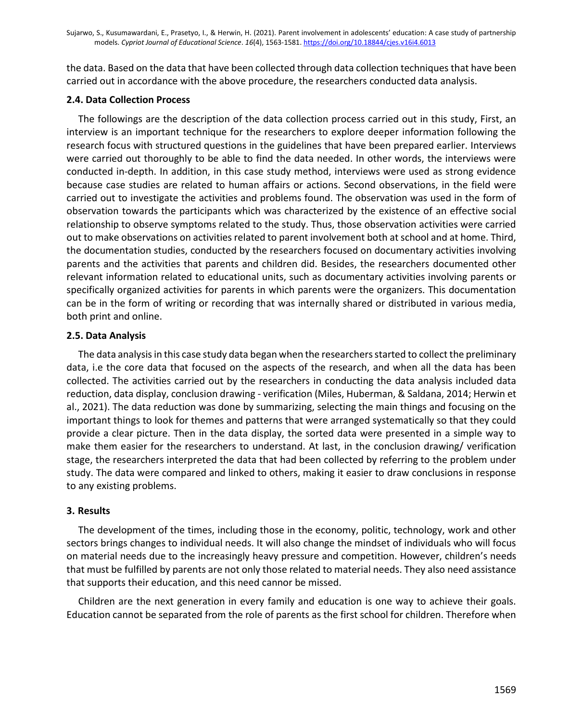the data. Based on the data that have been collected through data collection techniques that have been carried out in accordance with the above procedure, the researchers conducted data analysis.

# **2.4. Data Collection Process**

The followings are the description of the data collection process carried out in this study, First, an interview is an important technique for the researchers to explore deeper information following the research focus with structured questions in the guidelines that have been prepared earlier. Interviews were carried out thoroughly to be able to find the data needed. In other words, the interviews were conducted in-depth. In addition, in this case study method, interviews were used as strong evidence because case studies are related to human affairs or actions. Second observations, in the field were carried out to investigate the activities and problems found. The observation was used in the form of observation towards the participants which was characterized by the existence of an effective social relationship to observe symptoms related to the study. Thus, those observation activities were carried out to make observations on activities related to parent involvement both at school and at home. Third, the documentation studies, conducted by the researchers focused on documentary activities involving parents and the activities that parents and children did. Besides, the researchers documented other relevant information related to educational units, such as documentary activities involving parents or specifically organized activities for parents in which parents were the organizers. This documentation can be in the form of writing or recording that was internally shared or distributed in various media, both print and online.

# **2.5. Data Analysis**

The data analysis in this case study data began when the researchers started to collect the preliminary data, i.e the core data that focused on the aspects of the research, and when all the data has been collected. The activities carried out by the researchers in conducting the data analysis included data reduction, data display, conclusion drawing - verification (Miles, Huberman, & Saldana, 2014; Herwin et al., 2021). The data reduction was done by summarizing, selecting the main things and focusing on the important things to look for themes and patterns that were arranged systematically so that they could provide a clear picture. Then in the data display, the sorted data were presented in a simple way to make them easier for the researchers to understand. At last, in the conclusion drawing/ verification stage, the researchers interpreted the data that had been collected by referring to the problem under study. The data were compared and linked to others, making it easier to draw conclusions in response to any existing problems.

# **3. Results**

The development of the times, including those in the economy, politic, technology, work and other sectors brings changes to individual needs. It will also change the mindset of individuals who will focus on material needs due to the increasingly heavy pressure and competition. However, children's needs that must be fulfilled by parents are not only those related to material needs. They also need assistance that supports their education, and this need cannor be missed.

Children are the next generation in every family and education is one way to achieve their goals. Education cannot be separated from the role of parents as the first school for children. Therefore when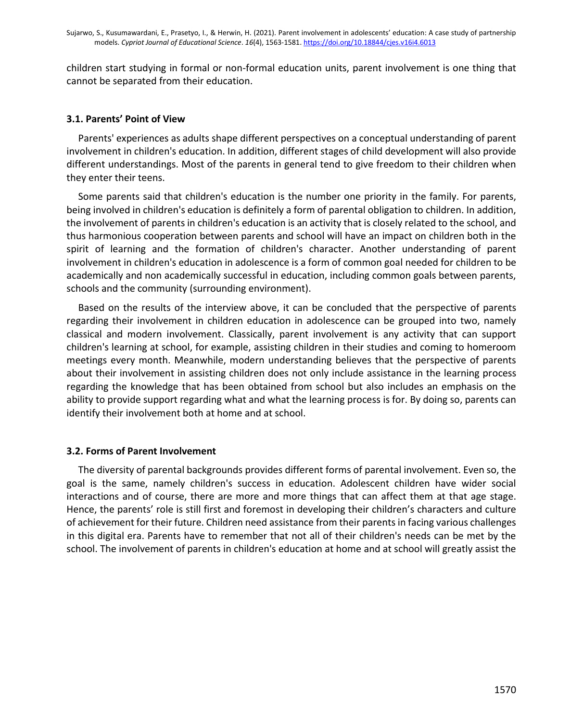children start studying in formal or non-formal education units, parent involvement is one thing that cannot be separated from their education.

# **3.1. Parents' Point of View**

Parents' experiences as adults shape different perspectives on a conceptual understanding of parent involvement in children's education. In addition, different stages of child development will also provide different understandings. Most of the parents in general tend to give freedom to their children when they enter their teens.

Some parents said that children's education is the number one priority in the family. For parents, being involved in children's education is definitely a form of parental obligation to children. In addition, the involvement of parents in children's education is an activity that is closely related to the school, and thus harmonious cooperation between parents and school will have an impact on children both in the spirit of learning and the formation of children's character. Another understanding of parent involvement in children's education in adolescence is a form of common goal needed for children to be academically and non academically successful in education, including common goals between parents, schools and the community (surrounding environment).

Based on the results of the interview above, it can be concluded that the perspective of parents regarding their involvement in children education in adolescence can be grouped into two, namely classical and modern involvement. Classically, parent involvement is any activity that can support children's learning at school, for example, assisting children in their studies and coming to homeroom meetings every month. Meanwhile, modern understanding believes that the perspective of parents about their involvement in assisting children does not only include assistance in the learning process regarding the knowledge that has been obtained from school but also includes an emphasis on the ability to provide support regarding what and what the learning process is for. By doing so, parents can identify their involvement both at home and at school.

#### **3.2. Forms of Parent Involvement**

The diversity of parental backgrounds provides different forms of parental involvement. Even so, the goal is the same, namely children's success in education. Adolescent children have wider social interactions and of course, there are more and more things that can affect them at that age stage. Hence, the parents' role is still first and foremost in developing their children's characters and culture of achievement for their future. Children need assistance from their parents in facing various challenges in this digital era. Parents have to remember that not all of their children's needs can be met by the school. The involvement of parents in children's education at home and at school will greatly assist the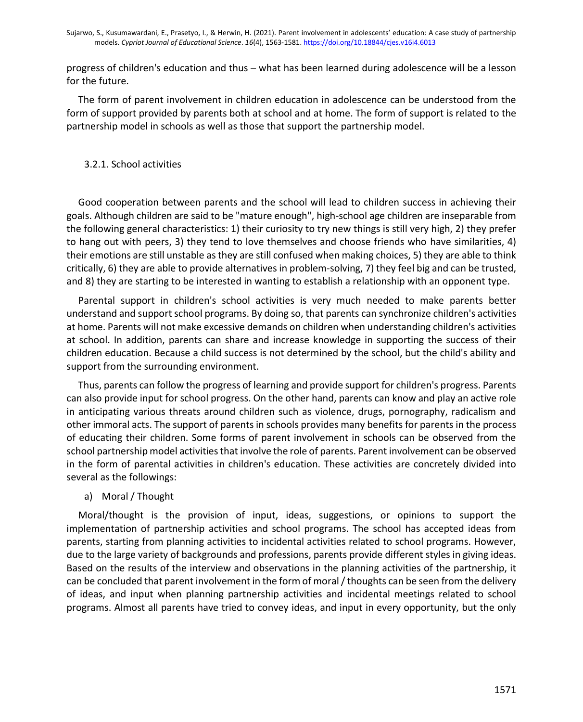progress of children's education and thus – what has been learned during adolescence will be a lesson for the future.

The form of parent involvement in children education in adolescence can be understood from the form of support provided by parents both at school and at home. The form of support is related to the partnership model in schools as well as those that support the partnership model.

# 3.2.1. School activities

Good cooperation between parents and the school will lead to children success in achieving their goals. Although children are said to be "mature enough", high-school age children are inseparable from the following general characteristics: 1) their curiosity to try new things is still very high, 2) they prefer to hang out with peers, 3) they tend to love themselves and choose friends who have similarities, 4) their emotions are still unstable as they are still confused when making choices, 5) they are able to think critically, 6) they are able to provide alternatives in problem-solving, 7) they feel big and can be trusted, and 8) they are starting to be interested in wanting to establish a relationship with an opponent type.

Parental support in children's school activities is very much needed to make parents better understand and support school programs. By doing so, that parents can synchronize children's activities at home. Parents will not make excessive demands on children when understanding children's activities at school. In addition, parents can share and increase knowledge in supporting the success of their children education. Because a child success is not determined by the school, but the child's ability and support from the surrounding environment.

Thus, parents can follow the progress of learning and provide support for children's progress. Parents can also provide input for school progress. On the other hand, parents can know and play an active role in anticipating various threats around children such as violence, drugs, pornography, radicalism and other immoral acts. The support of parents in schools provides many benefits for parents in the process of educating their children. Some forms of parent involvement in schools can be observed from the school partnership model activities that involve the role of parents. Parent involvement can be observed in the form of parental activities in children's education. These activities are concretely divided into several as the followings:

#### a) Moral / Thought

Moral/thought is the provision of input, ideas, suggestions, or opinions to support the implementation of partnership activities and school programs. The school has accepted ideas from parents, starting from planning activities to incidental activities related to school programs. However, due to the large variety of backgrounds and professions, parents provide different styles in giving ideas. Based on the results of the interview and observations in the planning activities of the partnership, it can be concluded that parent involvement in the form of moral / thoughts can be seen from the delivery of ideas, and input when planning partnership activities and incidental meetings related to school programs. Almost all parents have tried to convey ideas, and input in every opportunity, but the only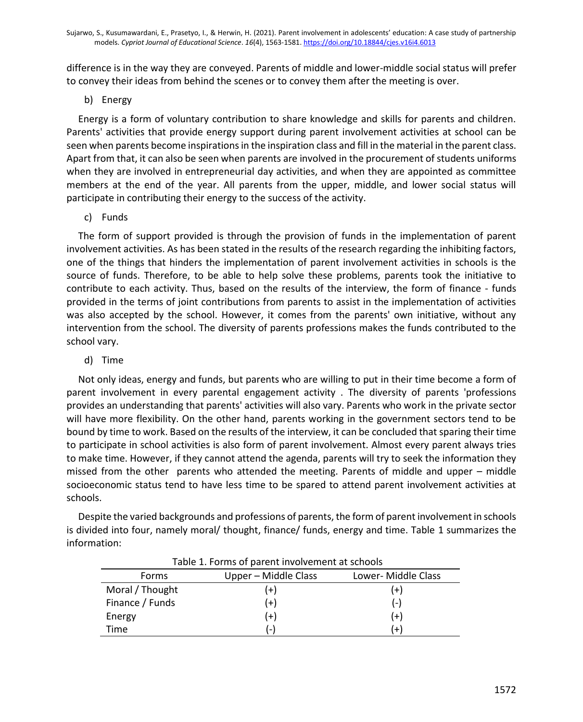difference is in the way they are conveyed. Parents of middle and lower-middle social status will prefer to convey their ideas from behind the scenes or to convey them after the meeting is over.

# b) Energy

Energy is a form of voluntary contribution to share knowledge and skills for parents and children. Parents' activities that provide energy support during parent involvement activities at school can be seen when parents become inspirations in the inspiration class and fill in the material in the parent class. Apart from that, it can also be seen when parents are involved in the procurement of students uniforms when they are involved in entrepreneurial day activities, and when they are appointed as committee members at the end of the year. All parents from the upper, middle, and lower social status will participate in contributing their energy to the success of the activity.

c) Funds

The form of support provided is through the provision of funds in the implementation of parent involvement activities. As has been stated in the results of the research regarding the inhibiting factors, one of the things that hinders the implementation of parent involvement activities in schools is the source of funds. Therefore, to be able to help solve these problems, parents took the initiative to contribute to each activity. Thus, based on the results of the interview, the form of finance - funds provided in the terms of joint contributions from parents to assist in the implementation of activities was also accepted by the school. However, it comes from the parents' own initiative, without any intervention from the school. The diversity of parents professions makes the funds contributed to the school vary.

# d) Time

Not only ideas, energy and funds, but parents who are willing to put in their time become a form of parent involvement in every parental engagement activity . The diversity of parents 'professions provides an understanding that parents' activities will also vary. Parents who work in the private sector will have more flexibility. On the other hand, parents working in the government sectors tend to be bound by time to work. Based on the results of the interview, it can be concluded that sparing their time to participate in school activities is also form of parent involvement. Almost every parent always tries to make time. However, if they cannot attend the agenda, parents will try to seek the information they missed from the other parents who attended the meeting. Parents of middle and upper – middle socioeconomic status tend to have less time to be spared to attend parent involvement activities at schools.

Despite the varied backgrounds and professions of parents, the form of parent involvement in schools is divided into four, namely moral/ thought, finance/ funds, energy and time. Table 1 summarizes the information:

| <b>I AVIC 1. I UITIIS UI DATEIR IIIVUIVEIIIEIR AL SCHUUIS</b> |                      |                     |
|---------------------------------------------------------------|----------------------|---------------------|
| <b>Forms</b>                                                  | Upper – Middle Class | Lower- Middle Class |
| Moral / Thought                                               | $^{+}$               | '+)                 |
| Finance / Funds                                               | $(+)$                | (-)                 |
| Energy                                                        | (+)                  | (+)                 |
| Time                                                          | ( – )                | $+$                 |

Table 1. Forms of parent involvement at schools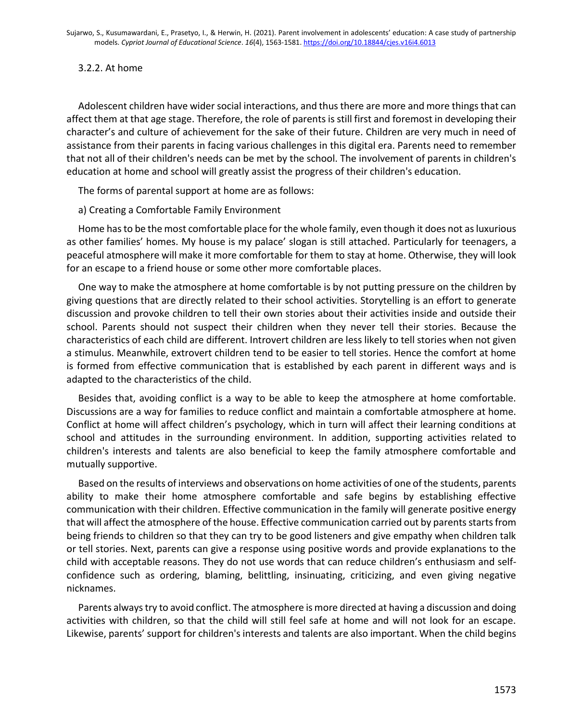# 3.2.2. At home

Adolescent children have wider social interactions, and thus there are more and more things that can affect them at that age stage. Therefore, the role of parents is still first and foremost in developing their character's and culture of achievement for the sake of their future. Children are very much in need of assistance from their parents in facing various challenges in this digital era. Parents need to remember that not all of their children's needs can be met by the school. The involvement of parents in children's education at home and school will greatly assist the progress of their children's education.

The forms of parental support at home are as follows:

a) Creating a Comfortable Family Environment

Home has to be the most comfortable place for the whole family, even though it does not as luxurious as other families' homes. My house is my palace' slogan is still attached. Particularly for teenagers, a peaceful atmosphere will make it more comfortable for them to stay at home. Otherwise, they will look for an escape to a friend house or some other more comfortable places.

One way to make the atmosphere at home comfortable is by not putting pressure on the children by giving questions that are directly related to their school activities. Storytelling is an effort to generate discussion and provoke children to tell their own stories about their activities inside and outside their school. Parents should not suspect their children when they never tell their stories. Because the characteristics of each child are different. Introvert children are less likely to tell stories when not given a stimulus. Meanwhile, extrovert children tend to be easier to tell stories. Hence the comfort at home is formed from effective communication that is established by each parent in different ways and is adapted to the characteristics of the child.

Besides that, avoiding conflict is a way to be able to keep the atmosphere at home comfortable. Discussions are a way for families to reduce conflict and maintain a comfortable atmosphere at home. Conflict at home will affect children's psychology, which in turn will affect their learning conditions at school and attitudes in the surrounding environment. In addition, supporting activities related to children's interests and talents are also beneficial to keep the family atmosphere comfortable and mutually supportive.

Based on the results of interviews and observations on home activities of one of the students, parents ability to make their home atmosphere comfortable and safe begins by establishing effective communication with their children. Effective communication in the family will generate positive energy that will affect the atmosphere of the house. Effective communication carried out by parents starts from being friends to children so that they can try to be good listeners and give empathy when children talk or tell stories. Next, parents can give a response using positive words and provide explanations to the child with acceptable reasons. They do not use words that can reduce children's enthusiasm and selfconfidence such as ordering, blaming, belittling, insinuating, criticizing, and even giving negative nicknames.

Parents always try to avoid conflict. The atmosphere is more directed at having a discussion and doing activities with children, so that the child will still feel safe at home and will not look for an escape. Likewise, parents' support for children's interests and talents are also important. When the child begins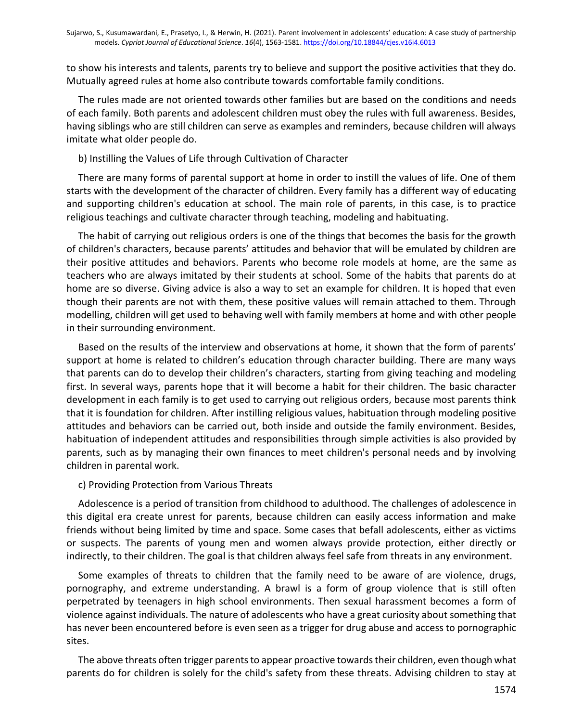to show his interests and talents, parents try to believe and support the positive activities that they do. Mutually agreed rules at home also contribute towards comfortable family conditions.

The rules made are not oriented towards other families but are based on the conditions and needs of each family. Both parents and adolescent children must obey the rules with full awareness. Besides, having siblings who are still children can serve as examples and reminders, because children will always imitate what older people do.

## b) Instilling the Values of Life through Cultivation of Character

There are many forms of parental support at home in order to instill the values of life. One of them starts with the development of the character of children. Every family has a different way of educating and supporting children's education at school. The main role of parents, in this case, is to practice religious teachings and cultivate character through teaching, modeling and habituating.

The habit of carrying out religious orders is one of the things that becomes the basis for the growth of children's characters, because parents' attitudes and behavior that will be emulated by children are their positive attitudes and behaviors. Parents who become role models at home, are the same as teachers who are always imitated by their students at school. Some of the habits that parents do at home are so diverse. Giving advice is also a way to set an example for children. It is hoped that even though their parents are not with them, these positive values will remain attached to them. Through modelling, children will get used to behaving well with family members at home and with other people in their surrounding environment.

Based on the results of the interview and observations at home, it shown that the form of parents' support at home is related to children's education through character building. There are many ways that parents can do to develop their children's characters, starting from giving teaching and modeling first. In several ways, parents hope that it will become a habit for their children. The basic character development in each family is to get used to carrying out religious orders, because most parents think that it is foundation for children. After instilling religious values, habituation through modeling positive attitudes and behaviors can be carried out, both inside and outside the family environment. Besides, habituation of independent attitudes and responsibilities through simple activities is also provided by parents, such as by managing their own finances to meet children's personal needs and by involving children in parental work.

#### c) Providing Protection from Various Threats

Adolescence is a period of transition from childhood to adulthood. The challenges of adolescence in this digital era create unrest for parents, because children can easily access information and make friends without being limited by time and space. Some cases that befall adolescents, either as victims or suspects. The parents of young men and women always provide protection, either directly or indirectly, to their children. The goal is that children always feel safe from threats in any environment.

Some examples of threats to children that the family need to be aware of are violence, drugs, pornography, and extreme understanding. A brawl is a form of group violence that is still often perpetrated by teenagers in high school environments. Then sexual harassment becomes a form of violence against individuals. The nature of adolescents who have a great curiosity about something that has never been encountered before is even seen as a trigger for drug abuse and access to pornographic sites.

The above threats often trigger parents to appear proactive towards their children, even though what parents do for children is solely for the child's safety from these threats. Advising children to stay at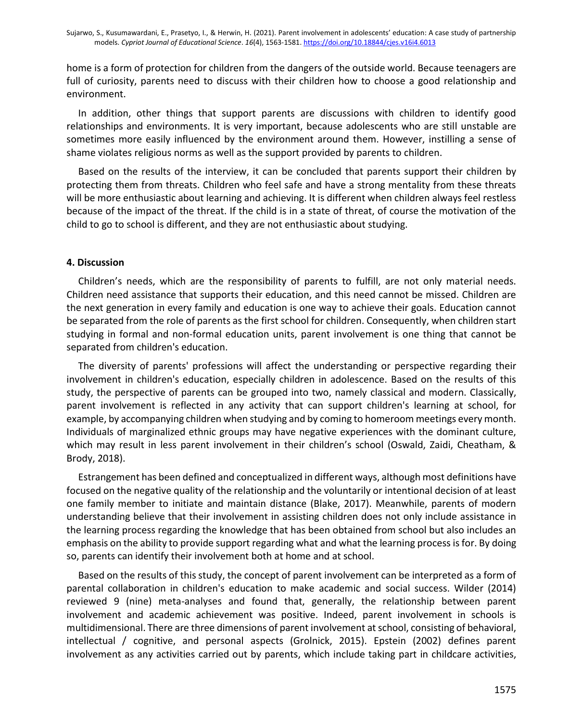home is a form of protection for children from the dangers of the outside world. Because teenagers are full of curiosity, parents need to discuss with their children how to choose a good relationship and environment.

In addition, other things that support parents are discussions with children to identify good relationships and environments. It is very important, because adolescents who are still unstable are sometimes more easily influenced by the environment around them. However, instilling a sense of shame violates religious norms as well as the support provided by parents to children.

Based on the results of the interview, it can be concluded that parents support their children by protecting them from threats. Children who feel safe and have a strong mentality from these threats will be more enthusiastic about learning and achieving. It is different when children always feel restless because of the impact of the threat. If the child is in a state of threat, of course the motivation of the child to go to school is different, and they are not enthusiastic about studying.

# **4. Discussion**

Children's needs, which are the responsibility of parents to fulfill, are not only material needs. Children need assistance that supports their education, and this need cannot be missed. Children are the next generation in every family and education is one way to achieve their goals. Education cannot be separated from the role of parents as the first school for children. Consequently, when children start studying in formal and non-formal education units, parent involvement is one thing that cannot be separated from children's education.

The diversity of parents' professions will affect the understanding or perspective regarding their involvement in children's education, especially children in adolescence. Based on the results of this study, the perspective of parents can be grouped into two, namely classical and modern. Classically, parent involvement is reflected in any activity that can support children's learning at school, for example, by accompanying children when studying and by coming to homeroom meetings every month. Individuals of marginalized ethnic groups may have negative experiences with the dominant culture, which may result in less parent involvement in their children's school (Oswald, Zaidi, Cheatham, & Brody, 2018).

Estrangement has been defined and conceptualized in different ways, although most definitions have focused on the negative quality of the relationship and the voluntarily or intentional decision of at least one family member to initiate and maintain distance (Blake, 2017). Meanwhile, parents of modern understanding believe that their involvement in assisting children does not only include assistance in the learning process regarding the knowledge that has been obtained from school but also includes an emphasis on the ability to provide support regarding what and what the learning process is for. By doing so, parents can identify their involvement both at home and at school.

Based on the results of this study, the concept of parent involvement can be interpreted as a form of parental collaboration in children's education to make academic and social success. Wilder (2014) reviewed 9 (nine) meta-analyses and found that, generally, the relationship between parent involvement and academic achievement was positive. Indeed, parent involvement in schools is multidimensional. There are three dimensions of parent involvement at school, consisting of behavioral, intellectual / cognitive, and personal aspects (Grolnick, 2015). Epstein (2002) defines parent involvement as any activities carried out by parents, which include taking part in childcare activities,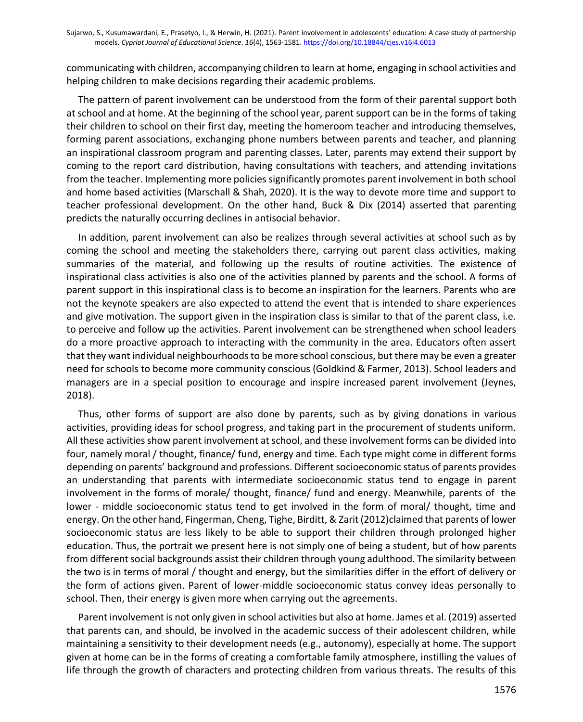communicating with children, accompanying children to learn at home, engaging in school activities and helping children to make decisions regarding their academic problems.

The pattern of parent involvement can be understood from the form of their parental support both at school and at home. At the beginning of the school year, parent support can be in the forms of taking their children to school on their first day, meeting the homeroom teacher and introducing themselves, forming parent associations, exchanging phone numbers between parents and teacher, and planning an inspirational classroom program and parenting classes. Later, parents may extend their support by coming to the report card distribution, having consultations with teachers, and attending invitations from the teacher. Implementing more policies significantly promotes parent involvement in both school and home based activities (Marschall & Shah, 2020). It is the way to devote more time and support to teacher professional development. On the other hand, Buck & Dix (2014) asserted that parenting predicts the naturally occurring declines in antisocial behavior.

In addition, parent involvement can also be realizes through several activities at school such as by coming the school and meeting the stakeholders there, carrying out parent class activities, making summaries of the material, and following up the results of routine activities. The existence of inspirational class activities is also one of the activities planned by parents and the school. A forms of parent support in this inspirational class is to become an inspiration for the learners. Parents who are not the keynote speakers are also expected to attend the event that is intended to share experiences and give motivation. The support given in the inspiration class is similar to that of the parent class, i.e. to perceive and follow up the activities. Parent involvement can be strengthened when school leaders do a more proactive approach to interacting with the community in the area. Educators often assert that they want individual neighbourhoods to be more school conscious, but there may be even a greater need for schools to become more community conscious (Goldkind & Farmer, 2013). School leaders and managers are in a special position to encourage and inspire increased parent involvement (Jeynes, 2018).

Thus, other forms of support are also done by parents, such as by giving donations in various activities, providing ideas for school progress, and taking part in the procurement of students uniform. All these activities show parent involvement at school, and these involvement forms can be divided into four, namely moral / thought, finance/ fund, energy and time. Each type might come in different forms depending on parents' background and professions. Different socioeconomic status of parents provides an understanding that parents with intermediate socioeconomic status tend to engage in parent involvement in the forms of morale/ thought, finance/ fund and energy. Meanwhile, parents of the lower - middle socioeconomic status tend to get involved in the form of moral/ thought, time and energy. On the other hand, Fingerman, Cheng, Tighe, Birditt, & Zarit (2012)claimed that parents of lower socioeconomic status are less likely to be able to support their children through prolonged higher education. Thus, the portrait we present here is not simply one of being a student, but of how parents from different social backgrounds assist their children through young adulthood. The similarity between the two is in terms of moral / thought and energy, but the similarities differ in the effort of delivery or the form of actions given. Parent of lower-middle socioeconomic status convey ideas personally to school. Then, their energy is given more when carrying out the agreements.

Parent involvement is not only given in school activities but also at home. James et al. (2019) asserted that parents can, and should, be involved in the academic success of their adolescent children, while maintaining a sensitivity to their development needs (e.g., autonomy), especially at home. The support given at home can be in the forms of creating a comfortable family atmosphere, instilling the values of life through the growth of characters and protecting children from various threats. The results of this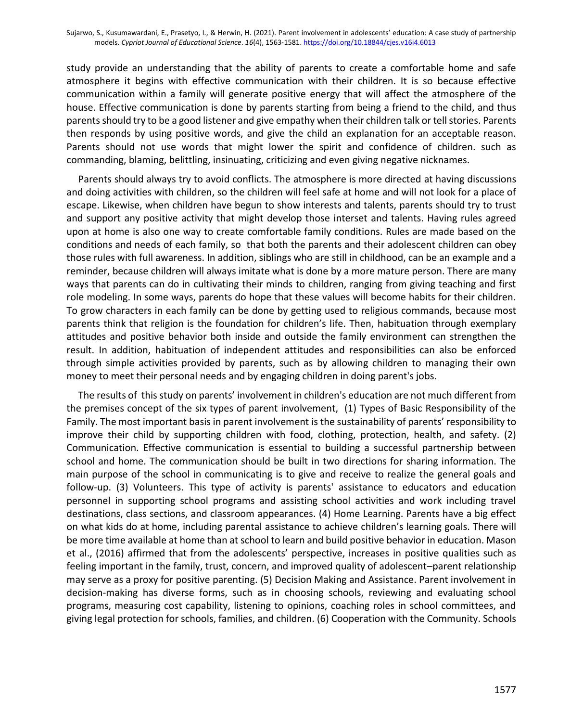study provide an understanding that the ability of parents to create a comfortable home and safe atmosphere it begins with effective communication with their children. It is so because effective communication within a family will generate positive energy that will affect the atmosphere of the house. Effective communication is done by parents starting from being a friend to the child, and thus parents should try to be a good listener and give empathy when their children talk or tell stories. Parents then responds by using positive words, and give the child an explanation for an acceptable reason. Parents should not use words that might lower the spirit and confidence of children. such as commanding, blaming, belittling, insinuating, criticizing and even giving negative nicknames.

Parents should always try to avoid conflicts. The atmosphere is more directed at having discussions and doing activities with children, so the children will feel safe at home and will not look for a place of escape. Likewise, when children have begun to show interests and talents, parents should try to trust and support any positive activity that might develop those interset and talents. Having rules agreed upon at home is also one way to create comfortable family conditions. Rules are made based on the conditions and needs of each family, so that both the parents and their adolescent children can obey those rules with full awareness. In addition, siblings who are still in childhood, can be an example and a reminder, because children will always imitate what is done by a more mature person. There are many ways that parents can do in cultivating their minds to children, ranging from giving teaching and first role modeling. In some ways, parents do hope that these values will become habits for their children. To grow characters in each family can be done by getting used to religious commands, because most parents think that religion is the foundation for children's life. Then, habituation through exemplary attitudes and positive behavior both inside and outside the family environment can strengthen the result. In addition, habituation of independent attitudes and responsibilities can also be enforced through simple activities provided by parents, such as by allowing children to managing their own money to meet their personal needs and by engaging children in doing parent's jobs.

The results of this study on parents' involvement in children's education are not much different from the premises concept of the six types of parent involvement, (1) Types of Basic Responsibility of the Family. The most important basis in parent involvement is the sustainability of parents' responsibility to improve their child by supporting children with food, clothing, protection, health, and safety. (2) Communication. Effective communication is essential to building a successful partnership between school and home. The communication should be built in two directions for sharing information. The main purpose of the school in communicating is to give and receive to realize the general goals and follow-up. (3) Volunteers. This type of activity is parents' assistance to educators and education personnel in supporting school programs and assisting school activities and work including travel destinations, class sections, and classroom appearances. (4) Home Learning. Parents have a big effect on what kids do at home, including parental assistance to achieve children's learning goals. There will be more time available at home than at school to learn and build positive behavior in education. Mason et al., (2016) affirmed that from the adolescents' perspective, increases in positive qualities such as feeling important in the family, trust, concern, and improved quality of adolescent–parent relationship may serve as a proxy for positive parenting. (5) Decision Making and Assistance. Parent involvement in decision-making has diverse forms, such as in choosing schools, reviewing and evaluating school programs, measuring cost capability, listening to opinions, coaching roles in school committees, and giving legal protection for schools, families, and children. (6) Cooperation with the Community. Schools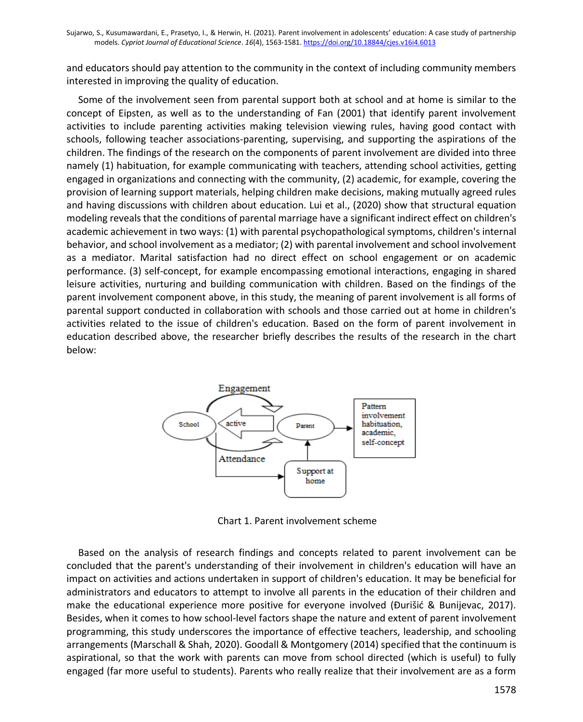and educators should pay attention to the community in the context of including community members interested in improving the quality of education.

Some of the involvement seen from parental support both at school and at home is similar to the concept of Eipsten, as well as to the understanding of Fan (2001) that identify parent involvement activities to include parenting activities making television viewing rules, having good contact with schools, following teacher associations-parenting, supervising, and supporting the aspirations of the children. The findings of the research on the components of parent involvement are divided into three namely (1) habituation, for example communicating with teachers, attending school activities, getting engaged in organizations and connecting with the community, (2) academic, for example, covering the provision of learning support materials, helping children make decisions, making mutually agreed rules and having discussions with children about education. Lui et al., (2020) show that structural equation modeling reveals that the conditions of parental marriage have a significant indirect effect on children's academic achievement in two ways: (1) with parental psychopathological symptoms, children's internal behavior, and school involvement as a mediator; (2) with parental involvement and school involvement as a mediator. Marital satisfaction had no direct effect on school engagement or on academic performance. (3) self-concept, for example encompassing emotional interactions, engaging in shared leisure activities, nurturing and building communication with children. Based on the findings of the parent involvement component above, in this study, the meaning of parent involvement is all forms of parental support conducted in collaboration with schools and those carried out at home in children's activities related to the issue of children's education. Based on the form of parent involvement in education described above, the researcher briefly describes the results of the research in the chart below:



Chart 1. Parent involvement scheme

Based on the analysis of research findings and concepts related to parent involvement can be concluded that the parent's understanding of their involvement in children's education will have an impact on activities and actions undertaken in support of children's education. It may be beneficial for administrators and educators to attempt to involve all parents in the education of their children and make the educational experience more positive for everyone involved (Đurišić & Bunijevac, 2017). Besides, when it comes to how school-level factors shape the nature and extent of parent involvement programming, this study underscores the importance of effective teachers, leadership, and schooling arrangements (Marschall & Shah, 2020). Goodall & Montgomery (2014) specified that the continuum is aspirational, so that the work with parents can move from school directed (which is useful) to fully engaged (far more useful to students). Parents who really realize that their involvement are as a form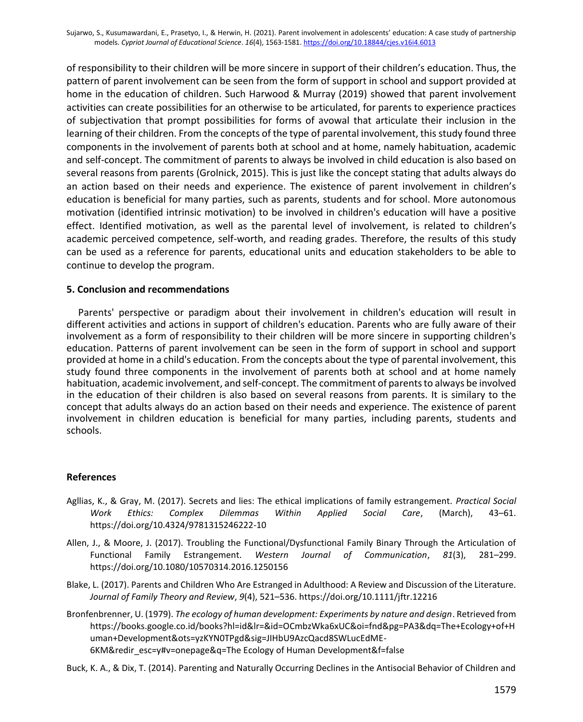of responsibility to their children will be more sincere in support of their children's education. Thus, the pattern of parent involvement can be seen from the form of support in school and support provided at home in the education of children. Such Harwood & Murray (2019) showed that parent involvement activities can create possibilities for an otherwise to be articulated, for parents to experience practices of subjectivation that prompt possibilities for forms of avowal that articulate their inclusion in the learning of their children. From the concepts of the type of parental involvement, this study found three components in the involvement of parents both at school and at home, namely habituation, academic and self-concept. The commitment of parents to always be involved in child education is also based on several reasons from parents (Grolnick, 2015). This is just like the concept stating that adults always do an action based on their needs and experience. The existence of parent involvement in children's education is beneficial for many parties, such as parents, students and for school. More autonomous motivation (identified intrinsic motivation) to be involved in children's education will have a positive effect. Identified motivation, as well as the parental level of involvement, is related to children's academic perceived competence, self-worth, and reading grades. Therefore, the results of this study can be used as a reference for parents, educational units and education stakeholders to be able to continue to develop the program.

#### **5. Conclusion and recommendations**

Parents' perspective or paradigm about their involvement in children's education will result in different activities and actions in support of children's education. Parents who are fully aware of their involvement as a form of responsibility to their children will be more sincere in supporting children's education. Patterns of parent involvement can be seen in the form of support in school and support provided at home in a child's education. From the concepts about the type of parental involvement, this study found three components in the involvement of parents both at school and at home namely habituation, academic involvement, and self-concept. The commitment of parents to always be involved in the education of their children is also based on several reasons from parents. It is similary to the concept that adults always do an action based on their needs and experience. The existence of parent involvement in children education is beneficial for many parties, including parents, students and schools.

#### **References**

- Agllias, K., & Gray, M. (2017). Secrets and lies: The ethical implications of family estrangement. *Practical Social Work Ethics: Complex Dilemmas Within Applied Social Care*, (March), 43–61. https://doi.org/10.4324/9781315246222-10
- Allen, J., & Moore, J. (2017). Troubling the Functional/Dysfunctional Family Binary Through the Articulation of Functional Family Estrangement. *Western Journal of Communication*, *81*(3), 281–299. https://doi.org/10.1080/10570314.2016.1250156
- Blake, L. (2017). Parents and Children Who Are Estranged in Adulthood: A Review and Discussion of the Literature. *Journal of Family Theory and Review*, *9*(4), 521–536. https://doi.org/10.1111/jftr.12216
- Bronfenbrenner, U. (1979). *The ecology of human development: Experiments by nature and design*. Retrieved from https://books.google.co.id/books?hl=id&lr=&id=OCmbzWka6xUC&oi=fnd&pg=PA3&dq=The+Ecology+of+H uman+Development&ots=yzKYN0TPgd&sig=JIHbU9AzcQacd8SWLucEdME-6KM&redir\_esc=y#v=onepage&q=The Ecology of Human Development&f=false
- Buck, K. A., & Dix, T. (2014). Parenting and Naturally Occurring Declines in the Antisocial Behavior of Children and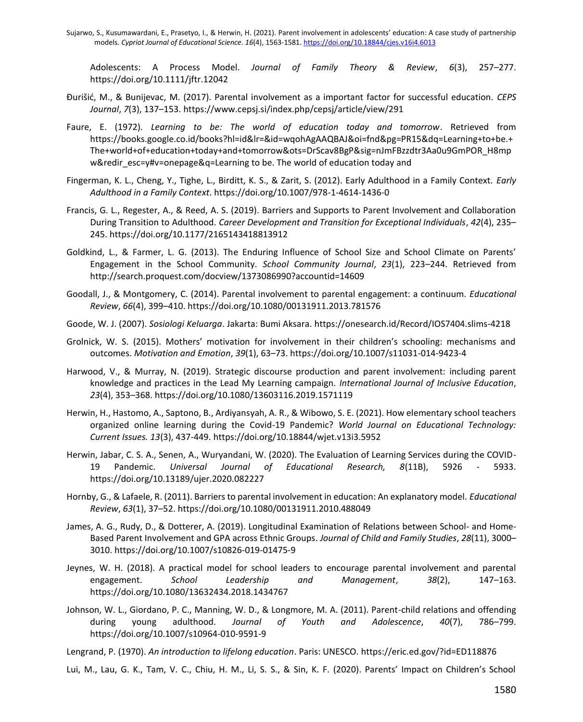Sujarwo, S., Kusumawardani, E., Prasetyo, I., & Herwin, H. (2021). Parent involvement in adolescents' education: A case study of partnership models. *Cypriot Journal of Educational Science*. *16*(4), 1563-1581[. https://doi.org/10.18844/cjes.v16i4.6013](https://doi.org/10.18844/cjes.v16i4.6013)

Adolescents: A Process Model. *Journal of Family Theory & Review*, *6*(3), 257–277. https://doi.org/10.1111/jftr.12042

- Đurišić, M., & Bunijevac, M. (2017). Parental involvement as a important factor for successful education. *CEPS Journal*, *7*(3), 137–153. https://www.cepsj.si/index.php/cepsj/article/view/291
- Faure, E. (1972). *Learning to be: The world of education today and tomorrow*. Retrieved from https://books.google.co.id/books?hl=id&lr=&id=wqohAgAAQBAJ&oi=fnd&pg=PR15&dq=Learning+to+be.+ The+world+of+education+today+and+tomorrow&ots=DrScav8BgP&sig=nJmFBzzdtr3Aa0u9GmPOR\_H8mp w&redir\_esc=y#v=onepage&q=Learning to be. The world of education today and
- Fingerman, K. L., Cheng, Y., Tighe, L., Birditt, K. S., & Zarit, S. (2012). Early Adulthood in a Family Context. *Early Adulthood in a Family Context*. https://doi.org/10.1007/978-1-4614-1436-0
- Francis, G. L., Regester, A., & Reed, A. S. (2019). Barriers and Supports to Parent Involvement and Collaboration During Transition to Adulthood. *Career Development and Transition for Exceptional Individuals*, *42*(4), 235– 245. https://doi.org/10.1177/2165143418813912
- Goldkind, L., & Farmer, L. G. (2013). The Enduring Influence of School Size and School Climate on Parents' Engagement in the School Community. *School Community Journal*, *23*(1), 223–244. Retrieved from http://search.proquest.com/docview/1373086990?accountid=14609
- Goodall, J., & Montgomery, C. (2014). Parental involvement to parental engagement: a continuum. *Educational Review*, *66*(4), 399–410. https://doi.org/10.1080/00131911.2013.781576
- Goode, W. J. (2007). *Sosiologi Keluarga*. Jakarta: Bumi Aksara. https://onesearch.id/Record/IOS7404.slims-4218
- Grolnick, W. S. (2015). Mothers' motivation for involvement in their children's schooling: mechanisms and outcomes. *Motivation and Emotion*, *39*(1), 63–73. https://doi.org/10.1007/s11031-014-9423-4
- Harwood, V., & Murray, N. (2019). Strategic discourse production and parent involvement: including parent knowledge and practices in the Lead My Learning campaign. *International Journal of Inclusive Education*, *23*(4), 353–368. https://doi.org/10.1080/13603116.2019.1571119
- Herwin, H., Hastomo, A., Saptono, B., Ardiyansyah, A. R., & Wibowo, S. E. (2021). How elementary school teachers organized online learning during the Covid-19 Pandemic? *World Journal on Educational Technology: Current Issues. 13*(3), 437-449. https://doi.org/10.18844/wjet.v13i3.5952
- Herwin, Jabar, C. S. A., Senen, A., Wuryandani, W. (2020). The Evaluation of Learning Services during the COVID-19 Pandemic. *Universal Journal of Educational Research, 8*(11B), 5926 - 5933. https://doi.org/10.13189/ujer.2020.082227
- Hornby, G., & Lafaele, R. (2011). Barriers to parental involvement in education: An explanatory model. *Educational Review*, *63*(1), 37–52. https://doi.org/10.1080/00131911.2010.488049
- James, A. G., Rudy, D., & Dotterer, A. (2019). Longitudinal Examination of Relations between School- and Home-Based Parent Involvement and GPA across Ethnic Groups. *Journal of Child and Family Studies*, *28*(11), 3000– 3010. https://doi.org/10.1007/s10826-019-01475-9
- Jeynes, W. H. (2018). A practical model for school leaders to encourage parental involvement and parental engagement. *School Leadership and Management*, *38*(2), 147–163. https://doi.org/10.1080/13632434.2018.1434767
- Johnson, W. L., Giordano, P. C., Manning, W. D., & Longmore, M. A. (2011). Parent-child relations and offending during young adulthood. *Journal of Youth and Adolescence*, *40*(7), 786–799. https://doi.org/10.1007/s10964-010-9591-9
- Lengrand, P. (1970). *An introduction to lifelong education*. Paris: UNESCO. https://eric.ed.gov/?id=ED118876

Lui, M., Lau, G. K., Tam, V. C., Chiu, H. M., Li, S. S., & Sin, K. F. (2020). Parents' Impact on Children's School